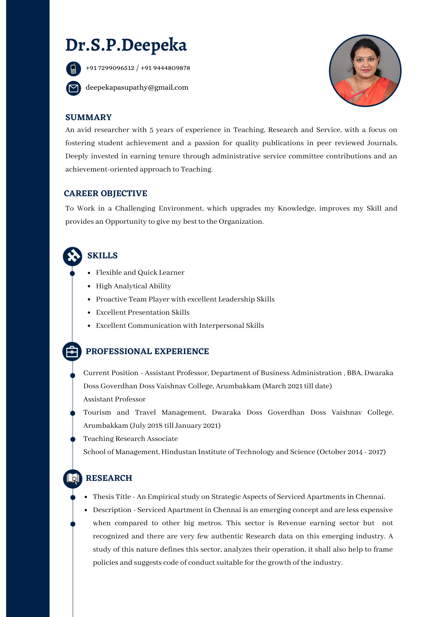# **Dr.S.P.Deepeka**



+91 7299096512 / +91 9444809878

deepekapasupathy@gmail.com



#### **SUMMARY**

An avid researcher with 5 years of experience in Teaching, Research and Service, with a focus on fostering student achievement and a passion for quality publications in peer reviewed Journals, Deeply invested in earning tenure through administrative service committee contributions and an achievement-oriented approach to Teaching.

#### **CAREER OBJECTIVE**

To Work in a Challenging Environment, which upgrades my Knowledge, improves my Skill and provides an Opportunity to give my best to the Organization.

# **SKILLS**

- Flexible and Quick Learner
- High Analytical Ability
- Proactive Team Player with excellent Leadership Skills
- Excellent Presentation Skills
- Excellent Communication with Interpersonal Skills

## **PROFESSIONAL EXPERIENCE**

Current Position - Assistant Professor, Department of Business Administration , BBA, Dwaraka Doss Goverdhan Doss Vaishnav College, Arumbakkam (March 2021 till date) Assistant Professor

Tourism and Travel Management, Dwaraka Doss Goverdhan Doss Vaishnav College, Arumbakkam (July 2018 till January 2021)

Teaching Research Associate

School of Management, Hindustan Institute of Technology and Science (October 2014 - 2017)

## **RESEARCH**

- Thesis Title An Empirical study on Strategic Aspects of Serviced Apartments in Chennai.
- Description Serviced Apartment in Chennai is an emerging concept and are less expensive when compared to other big metros. This sector is Revenue earning sector but not recognized and there are very few authentic Research data on this emerging industry. A study of this nature defines this sector, analyzes their operation, it shall also help to frame policies and suggests code of conduct suitable for the growth of the industry.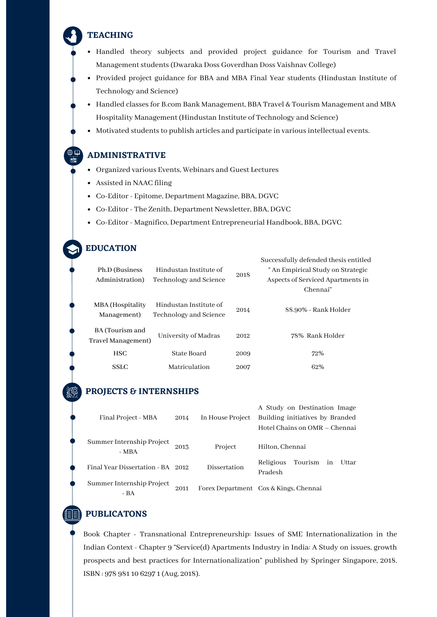#### **TEACHING**

- Handled theory subjects and provided project guidance for Tourism and Travel Management students (Dwaraka Doss Goverdhan Doss Vaishnav College)
- Provided project guidance for BBA and MBA Final Year students (Hindustan Institute of Technology and Science)
- Handled classes for B.com Bank Management, BBA Travel & Tourism Management and MBA Hospitality Management (Hindustan Institute of Technology and Science)
- Motivated students to publish articles and participate in various intellectual events.

### **ADMINISTRATIVE**

- Organized various Events, Webinars and Guest Lectures
- Assisted in NAAC filing
- Co-Editor- Epitome, Department Magazine, BBA, DGVC
- Co-Editor- The Zenith, Department Newsletter, BBA, DGVC
- Co-Editor- Magnifico, Department Entrepreneurial Handbook, BBA, DGVC

### **EDUCATION**

| Ph.D (Business)<br>Administration)    | Hindustan Institute of<br>Technology and Science | 2018 | Successfully defended thesis entitled<br>" An Empirical Study on Strategic<br>Aspects of Serviced Apartments in<br>Chennai" |
|---------------------------------------|--------------------------------------------------|------|-----------------------------------------------------------------------------------------------------------------------------|
| MBA (Hospitality<br>Management)       | Hindustan Institute of<br>Technology and Science | 2014 | 88.90% - Rank Holder                                                                                                        |
| BA (Tourism and<br>Travel Management) | University of Madras                             | 2012 | 78% Rank Holder                                                                                                             |
| <b>HSC</b>                            | State Board                                      | 2009 | 72%                                                                                                                         |
| <b>SSLC</b>                           | Matriculation                                    | 2007 | 62%                                                                                                                         |

#### **PROJECTS & INTERNSHIPS**

| Final Project - MBA                | 2014 | In House Project    | A Study on Destination Image<br>Building initiatives by Branded<br>Hotel Chains on OMR – Chennai |
|------------------------------------|------|---------------------|--------------------------------------------------------------------------------------------------|
| Summer Internship Project<br>- MBA | 2013 | Project             | Hilton, Chennai                                                                                  |
| Final Year Dissertation - BA 2012  |      | <b>Dissertation</b> | Religious<br>Tourism<br>Uttar<br>in<br>Pradesh                                                   |
| Summer Internship Project<br>$-BA$ | 2011 |                     | Forex Department Cox & Kings, Chennai                                                            |

## **PUBLICATONS**

Book Chapter - Transnational Entrepreneurship: Issues of SME Internationalization in the Indian Context - Chapter 9 "Service(d) Apartments Industry in India: A Study on issues, growth prospects and best practices for Internationalization" published by Springer Singapore, 2018. ISBN : 978 981 10 6297 1 (Aug, 2018).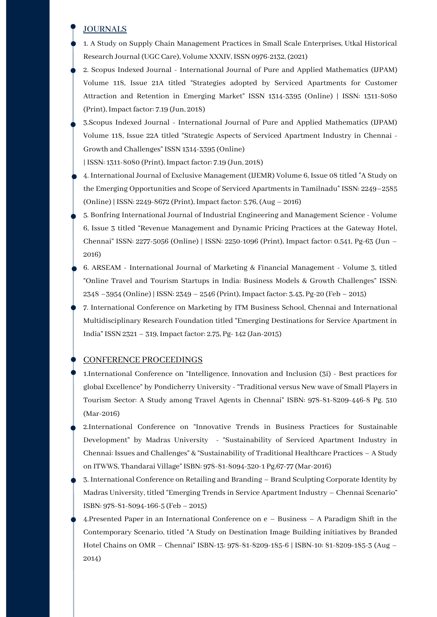#### **JOURNALS**

- 1. A Study on Supply Chain Management Practices in Small Scale Enterprises, Utkal Historical Research Journal (UGC Care), Volume XXXIV, ISSN 0976-2132, (2021)
- 2. Scopus Indexed Journal International Journal of Pure and Applied Mathematics (IJPAM) Volume 118, Issue 21A titled "Strategies adopted by Serviced Apartments for Customer Attraction and Retention in Emerging Market" ISSN 1314-3395 (Online) | ISSN: 1311-8080 (Print), Impact factor: 7.19 (Jun, 2018)
- 3.Scopus Indexed Journal International Journal of Pure and Applied Mathematics (IJPAM) Volume 118, Issue 22A titled "Strategic Aspects of Serviced Apartment Industry in Chennai - Growth and Challenges" ISSN 1314-3395 (Online)

| ISSN: 1311-8080 (Print), Impact factor: 7.19 (Jun, 2018)

- 4. International Journal of Exclusive Management (IJEMR) Volume 6, Issue 08 titled "A Study on the Emerging Opportunities and Scope of Serviced Apartments in Tamilnadu" ISSN: 2249–2585 (Online) | ISSN: 2249-8672 (Print), Impact factor: 5.76, (Aug – 2016)
- 5. Bonfring International Journal of Industrial Engineering and Management Science Volume 6, Issue 3 titled "Revenue Management and Dynamic Pricing Practices at the Gateway Hotel, Chennai" ISSN: 2277-5056 (Online) | ISSN: 2250-1096 (Print), Impact factor: 0.541, Pg-63 (Jun – 2016)
- 6. ARSEAM International Journal of Marketing & Financial Management Volume 3, titled "Online Travel and Tourism Startups in India: Business Models & Growth Challenges" ISSN: 2348 –3954 (Online) | ISSN: 2349 – 2546 (Print), Impact factor: 3.43, Pg-20 (Feb – 2015)
- 7. International Conference on Marketing by ITM Business School, Chennai and International Multidisciplinary Research Foundation titled "Emerging Destinations for Service Apartment in India" ISSN 2321 – 319, Impact factor: 2.75, Pg- 142 (Jan-2015)

#### CONFERENCE PROCEEDINGS

- 1.International Conference on "Intelligence, Innovation and Inclusion (3i) Best practices for global Excellence" by Pondicherry University - "Traditional versus New wave of Small Players in Tourism Sector: A Study among Travel Agents in Chennai" ISBN: 978-81-8209-446-8 Pg. 510 (Mar-2016)
- 2.International Conference on "Innovative Trends in Business Practices for Sustainable Development" by Madras University - "Sustainability of Serviced Apartment Industry in Chennai: Issues and Challenges" & "Sustainability of Traditional Healthcare Practices – A Study on ITWWS, Thandarai Village" ISBN: 978-81-8094-320-1 Pg.67-77 (Mar-2016)
- 3. International Conference on Retailing and Branding Brand Sculpting Corporate Identity by Madras University, titled "Emerging Trends in Service Apartment Industry – Chennai Scenario" ISBN: 978-81-8094-166-5 (Feb – 2015)
- 4.Presented Paper in an International Conference on e Business A Paradigm Shift in the Contemporary Scenario, titled "A Study on Destination Image Building initiatives by Branded Hotel Chains on OMR – Chennai" ISBN-13: 978-81-8209-185-6 | ISBN-10: 81-8209-185-3 (Aug – 2014)